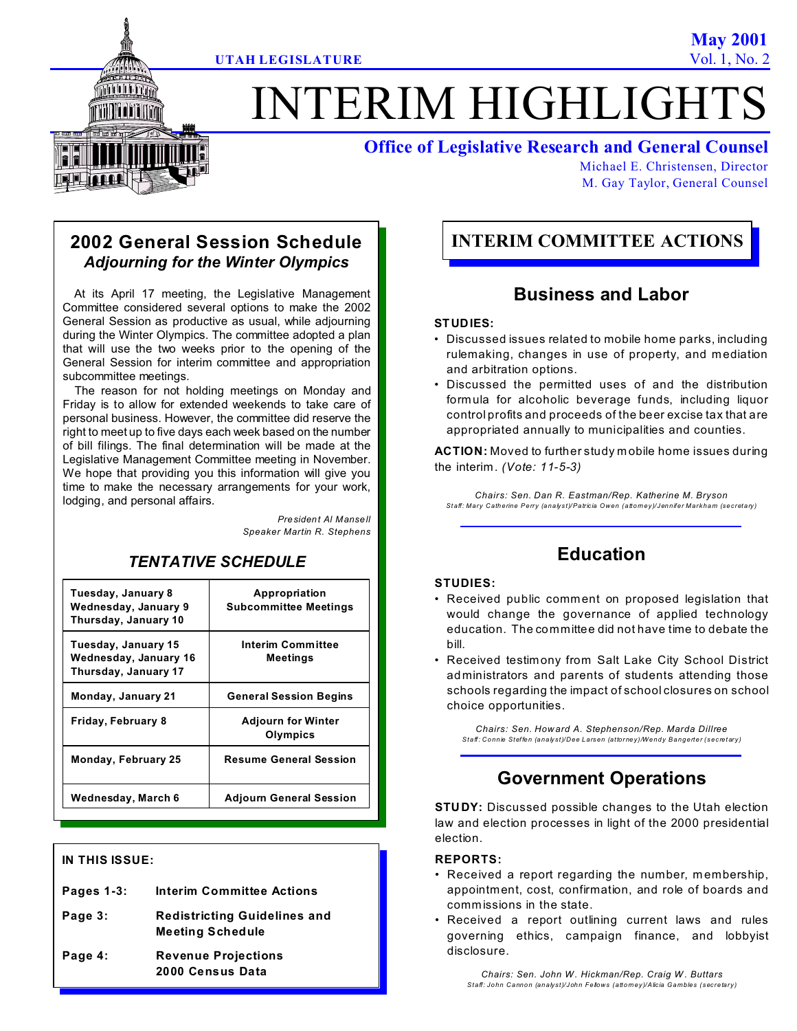# **ITERIM HIGHLIGHT**

## **Office of Legislative Research and General Counsel**

Michael E. Christensen, Director M. Gay Taylor, General Counsel

## **2002 General Session Schedule** *Adjourning for the Winter Olympics*

At its April 17 meeting, the Legislative Management Committee considered several options to make the 2002 General Session as productive as usual, while adjourning during the Winter Olympics. The committee adopted a plan that will use the two weeks prior to the opening of the General Session for interim committee and appropriation subcommittee meetings.

The reason for not holding meetings on Monday and Friday is to allow for extended weekends to take care of personal business. However, the committee did reserve the right to meet up to five days each week based on the number of bill filings. The final determination will be made at the Legislative Management Committee meeting in November. We hope that providing you this information will give you time to make the necessary arrangements for your work, lodging, and personal affairs.

> *President Al Mansell Speaker Martin R. Stephens*

# *TENTATIVE SCHEDULE*

| Tuesday, January 8<br>Wednesday, January 9<br>Thursday, January 10   | Appropriation<br><b>Subcommittee Meetings</b> |
|----------------------------------------------------------------------|-----------------------------------------------|
| Tuesday, January 15<br>Wednesday, January 16<br>Thursday, January 17 | <b>Interim Committee</b><br>Meetings          |
| Monday, January 21                                                   | <b>General Session Begins</b>                 |
| Friday, February 8                                                   | <b>Adjourn for Winter</b><br>Olympics         |
| Monday, February 25                                                  | <b>Resume General Session</b>                 |
| Wednesday, March 6                                                   | Adjourn General Session                       |

## **IN THIS ISSUE:**

| Pages 1-3: | <b>Interim Committee Actions</b>                               |
|------------|----------------------------------------------------------------|
| Page 3:    | <b>Redistricting Guidelines and</b><br><b>Meeting Schedule</b> |
| Page 4:    | <b>Revenue Projections</b><br>2000 Census Data                 |

# **INTERIM COMMITTEE ACTIONS**

## **Business and Labor**

## **STUDIES:**

- Discussed issues related to mobile home parks, including rulemaking, changes in use of property, and mediation and arbitration options.
- Discussed the permitted uses of and the distribution formula for alcoholic beverage funds, including liquor control profits and proceeds of the beer excise tax that are appropriated annually to municipalities and counties.

**ACTION:** Moved to further study m obile home issues during the interim. *(Vote: 11-5-3)*

*Chairs: Sen. Dan R. Eastman/Rep. Katherine M. Bryson Staff: Mary Catherine Perry (analyst)/Patricia Owen (attorney)/Jennifer Markham (secretary)*

## **Education**

## **STUDIES:**

- Received public comment on proposed legislation that would change the governance of applied technology education. The committee did not have time to debate the bill.
- Received testimony from Salt Lake City School District administrators and parents of students attending those schools regarding the impact of school closures on school choice opportunities.

*Chairs: Sen. How ard A. Stephenson/Rep. Marda Dillree Staff: Connie Steffen (analyst)/Dee Larsen (attorney)/Wendy Bangerter (secretary)*

# **Government Operations**

**STUDY:** Discussed possible changes to the Utah election law and election processes in light of the 2000 presidential election.

## **REPORTS:**

- Received a report regarding the number, membership, appointment, cost, confirmation, and role of boards and commissions in the state.
- Received a report outlining current laws and rules governing ethics, campaign finance, and lobbyist disclosure.

*Chairs: Sen. John W . Hickman/Rep. Craig W . Buttars Staff: John Cannon (analyst)/John Fellows (attorney)/Alicia Gambles (secretary)*

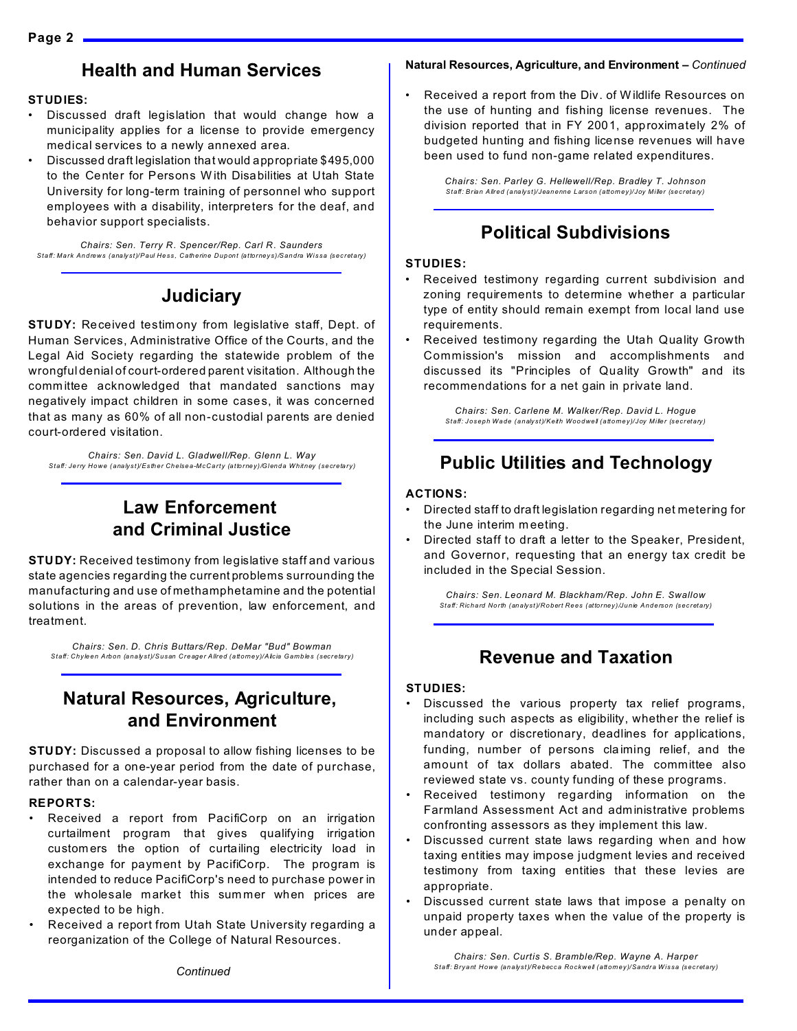## **Health and Human Services**

#### **STUDIES:**

- Discussed draft legislation that would change how a municipality applies for a license to provide emergency medical services to a newly annexed area.
- Discussed draft legislation that would appropriate \$495,000 to the Center for Persons W ith Disabilities at Utah State University for long-term training of personnel who support employees with a disability, interpreters for the deaf, and behavior support specialists.

*Chairs: Sen. Terry R. Spencer/Rep. Carl R. Saunders Staff: Mark Andrews (analyst)/Paul Hess, Catherine Dupont (attorneys)/Sandra Wissa (secretary)*

# **Judiciary**

**STUDY:** Received testim ony from legislative staff, Dept. of Human Services, Administrative Office of the Courts, and the Legal Aid Society regarding the statewide problem of the wrongful denial of court-ordered parent visitation. Although the committee acknowledged that mandated sanctions may negatively impact children in some cases, it was concerned that as many as 60% of all non-custodial parents are denied court-ordered visitation.

*Chairs: Sen. David L. Gladwell/Rep. Glenn L. Way Staff: Jerry Howe (analyst)/Esther Chelsea-McCarty (attorney)/Glenda Whitney (secretary)*

# **Law Enforcement and Criminal Justice**

**STUDY:** Received testimony from legislative staff and various state agencies regarding the current problems surrounding the manufacturing and use of methamphetamine and the potential solutions in the areas of prevention, law enforcement, and treatment.

*Chairs: Sen. D. Chris Buttars/Rep. DeMar "Bud" Bowman Staff: Chyleen Arbon (analyst)/Susan Creager Allred (attorney)/Alicia Gambles (secretary)*

## **Natural Resources, Agriculture, and Environment**

**STUDY:** Discussed a proposal to allow fishing licenses to be purchased for a one-year period from the date of purchase, rather than on a calendar-year basis.

#### **REPORTS:**

- Received a report from PacifiCorp on an irrigation curtailment program that gives qualifying irrigation custom ers the option of curtailing electricity load in exchange for payment by PacifiCorp. The program is intended to reduce PacifiCorp's need to purchase power in the wholesale market this sum mer when prices are expected to be high.
- Received a report from Utah State University regarding a reorganization of the College of Natural Resources.

#### **Natural Resources, Agriculture, and Environment –** *Continued*

• Received a report from the Div. of Wildlife Resources on the use of hunting and fishing license revenues. The division reported that in FY 2001, approximately 2% of budgeted hunting and fishing license revenues will have been used to fund non-game related expenditures.

> *Chairs: Sen. Parley G. Hellewell/Rep. Bradley T. Johnson Staff: Brian Allred (analyst)/Jeanenne Larson (attorney)/Joy Miller (secretary)*

## **Political Subdivisions**

#### **STUDIES:**

- Received testimony regarding current subdivision and zoning requirements to determine whether a particular type of entity should remain exempt from local land use requirements.
- Received testimony regarding the Utah Quality Growth Commission's mission and accomplishments and discussed its "Principles of Quality Growth" and its recommendations for a net gain in private land.

*Chairs: Sen. Carlene M. Walker/Rep. David L. Hogue Staff: Joseph Wade (analyst)/Keith Woodwell (attorney)/Joy Miller (secretary)*

## **Public Utilities and Technology**

#### **ACTIONS:**

- Directed staff to draft legislation regarding net metering for the June interim m eeting.
- Directed staff to draft a letter to the Speaker, President, and Governor, requesting that an energy tax credit be included in the Special Session.

*Chairs: Sen. Leonard M. Blackham/Rep. John E. Swallow Staff: Richard North (analyst)/Robert Rees (attorney)/Junie Anderson (secretary)*

## **Revenue and Taxation**

## **STUDIES:**

- Discussed the various property tax relief programs, including such aspects as eligibility, whether the relief is mandatory or discretionary, deadlines for applications, funding, number of persons claiming relief, and the amount of tax dollars abated. The committee also reviewed state vs. county funding of these programs.
- Received testimony regarding information on the Farmland Assessment Act and administrative problems confronting assessors as they implement this law.
- Discussed current state laws regarding when and how taxing entities may impose judgment levies and received testimony from taxing entities that these levies are appropriate.
- Discussed current state laws that impose a penalty on unpaid property taxes when the value of the property is under appeal.

*Chairs: Sen. Curtis S. Bramble/Rep. Wayne A. Harper Staff: Bryant Howe (analyst)/Rebecca Rockwell (attorney)/Sandra Wissa (secretary)*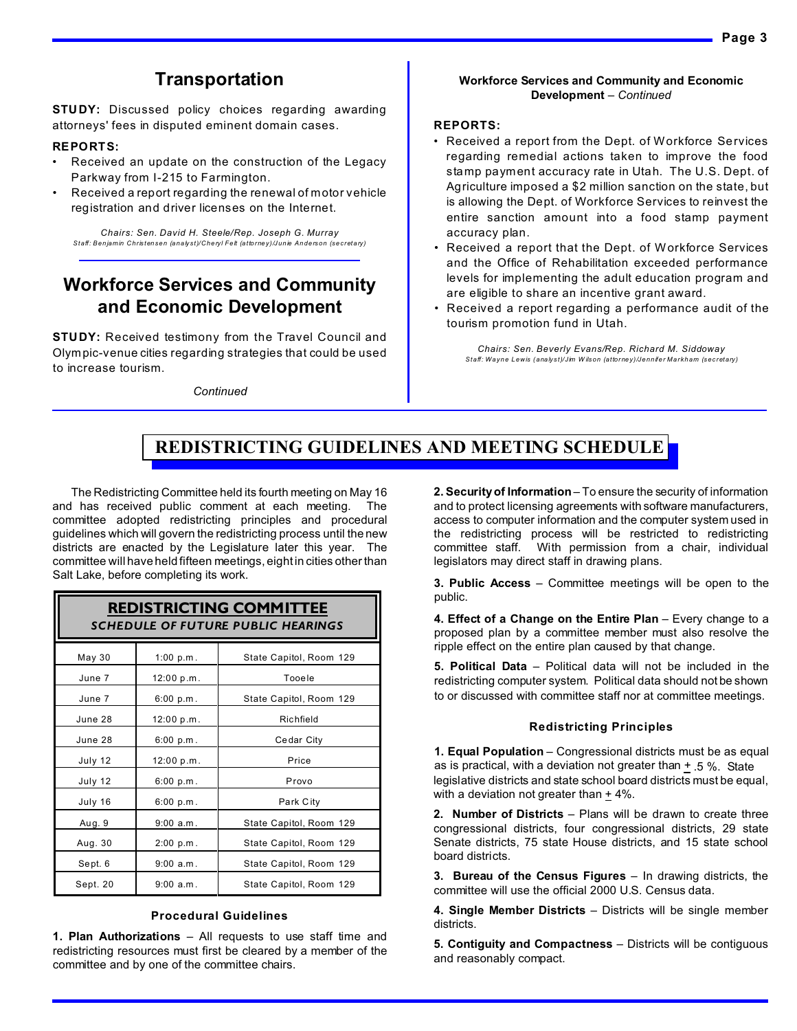# **Transportation**

**STUDY:** Discussed policy choices regarding awarding attorneys' fees in disputed eminent domain cases.

#### **REPORTS:**

- Received an update on the construction of the Legacy Parkway from I-215 to Farmington.
- Received a report regarding the renewal of motor vehicle registration and driver licenses on the Internet.

*Chairs: Sen. David H. Steele/Rep. Joseph G. Murray Staff: Benjamin Christensen (analyst)/Cheryl Felt (attorney)/Junie Anderson (secretary)*

# **Workforce Services and Community and Economic Development**

**STUDY:** Received testimony from the Travel Council and Olympic-venue cities regarding strategies that could be used to increase tourism.

*Continued*

#### **Workforce Services and Community and Economic Development** *– Continued*

#### **REPORTS:**

- Received a report from the Dept. of Workforce Services regarding remedial actions taken to improve the food stamp payment accuracy rate in Utah. The U.S. Dept. of Agriculture imposed a \$2 million sanction on the state, but is allowing the Dept. of Workforce Services to reinvest the entire sanction amount into a food stamp payment accuracy plan.
- Received a report that the Dept. of Workforce Services and the Office of Rehabilitation exceeded performance levels for implementing the adult education program and are eligible to share an incentive grant award.
- Received a report regarding a performance audit of the tourism promotion fund in Utah.

*Chairs: Sen. Beverly Evans/Rep. Richard M. Siddoway Staff: Wayne Lewis (analyst)/Jim W ilson (attorney)/Jennifer Markham (secretary)*

# **REDISTRICTING GUIDELINES AND MEETING SCHEDULE**

The Redistricting Committee held its fourth meeting on May 16 and has received public comment at each meeting. The committee adopted redistricting principles and procedural guidelines which will govern the redistricting process until the new districts are enacted by the Legislature later this year. The committee will have held fifteen meetings, eight in cities other than Salt Lake, before completing its work.

## **REDISTRICTING COMMITTEE** *SCHEDULE OF FUTURE PUBLIC HEARINGS*

| May 30   | 1:00 $p.m$ . | State Capitol, Room 129 |  |  |
|----------|--------------|-------------------------|--|--|
| June 7   | 12:00 p.m.   | Tooele                  |  |  |
| June 7   | 6:00 p.m.    | State Capitol, Room 129 |  |  |
| June 28  | 12:00 p.m.   | Richfield               |  |  |
| June 28  | 6:00 p.m.    | Cedar City              |  |  |
| July 12  | 12:00 p.m.   | Price                   |  |  |
| July 12  | 6:00 p.m.    | Provo                   |  |  |
| July 16  | 6:00 p.m.    | Park City               |  |  |
| Aug. 9   | 9:00 a.m.    | State Capitol, Room 129 |  |  |
| Aug. 30  | 2:00 p.m.    | State Capitol, Room 129 |  |  |
| Sept. 6  | 9:00 a.m.    | State Capitol, Room 129 |  |  |
| Sept. 20 | $9:00$ a.m.  | State Capitol, Room 129 |  |  |

#### **Procedural Guidelines**

**1. Plan Authorizations** – All requests to use staff time and redistricting resources must first be cleared by a member of the committee and by one of the committee chairs.

**2. Security of Information** – To ensure the security of information and to protect licensing agreements with software manufacturers, access to computer information and the computer system used in the redistricting process will be restricted to redistricting committee staff. With permission from a chair, individual legislators may direct staff in drawing plans.

**3. Public Access** – Committee meetings will be open to the public.

**4. Effect of a Change on the Entire Plan** – Every change to a proposed plan by a committee member must also resolve the ripple effect on the entire plan caused by that change.

**5. Political Data** – Political data will not be included in the redistricting computer system. Political data should not be shown to or discussed with committee staff nor at committee meetings.

#### **Redistricting Principles**

**1. Equal Population** – Congressional districts must be as equal as is practical, with a deviation not greater than + .5 %. State legislative districts and state school board districts must be equal, with a deviation not greater than  $+$  4%.

**2. Number of Districts** – Plans will be drawn to create three congressional districts, four congressional districts, 29 state Senate districts, 75 state House districts, and 15 state school board districts.

**3. Bureau of the Census Figures** – In drawing districts, the committee will use the official 2000 U.S. Census data.

**4. Single Member Districts** – Districts will be single member districts.

**5. Contiguity and Compactness** – Districts will be contiguous and reasonably compact.